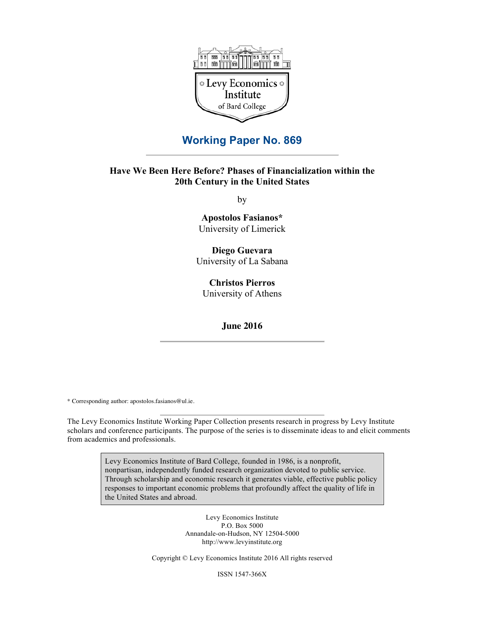

## **Working Paper No. 869**

## **Have We Been Here Before? Phases of Financialization within the 20th Century in the United States**

by

**Apostolos Fasianos\*** University of Limerick

**Diego Guevara** University of La Sabana

**Christos Pierros** University of Athens

**June 2016**

\* Corresponding author: apostolos.fasianos@ul.ie.

The Levy Economics Institute Working Paper Collection presents research in progress by Levy Institute scholars and conference participants. The purpose of the series is to disseminate ideas to and elicit comments from academics and professionals.

> Levy Economics Institute of Bard College, founded in 1986, is a nonprofit, nonpartisan, independently funded research organization devoted to public service. Through scholarship and economic research it generates viable, effective public policy responses to important economic problems that profoundly affect the quality of life in the United States and abroad.

> > Levy Economics Institute P.O. Box 5000 Annandale-on-Hudson, NY 12504-5000 http://www.levyinstitute.org

Copyright © Levy Economics Institute 2016 All rights reserved

ISSN 1547-366X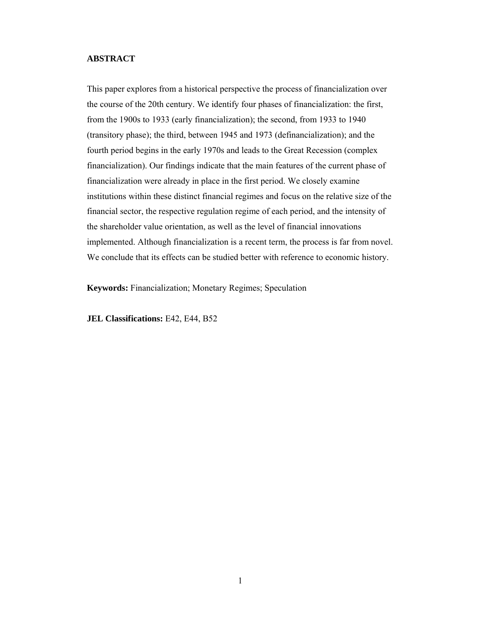### **ABSTRACT**

This paper explores from a historical perspective the process of financialization over the course of the 20th century. We identify four phases of financialization: the first, from the 1900s to 1933 (early financialization); the second, from 1933 to 1940 (transitory phase); the third, between 1945 and 1973 (definancialization); and the fourth period begins in the early 1970s and leads to the Great Recession (complex financialization). Our findings indicate that the main features of the current phase of financialization were already in place in the first period. We closely examine institutions within these distinct financial regimes and focus on the relative size of the financial sector, the respective regulation regime of each period, and the intensity of the shareholder value orientation, as well as the level of financial innovations implemented. Although financialization is a recent term, the process is far from novel. We conclude that its effects can be studied better with reference to economic history.

**Keywords:** Financialization; Monetary Regimes; Speculation

**JEL Classifications:** E42, Ε44, Β52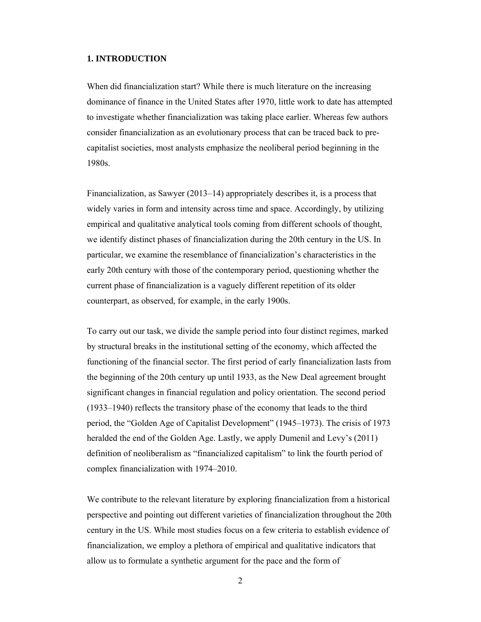### **1. INTRODUCTION**

When did financialization start? While there is much literature on the increasing dominance of finance in the United States after 1970, little work to date has attempted to investigate whether financialization was taking place earlier. Whereas few authors consider financialization as an evolutionary process that can be traced back to precapitalist societies, most analysts emphasize the neoliberal period beginning in the 1980s.

Financialization, as Sawyer (2013–14) appropriately describes it, is a process that widely varies in form and intensity across time and space. Accordingly, by utilizing empirical and qualitative analytical tools coming from different schools of thought, we identify distinct phases of financialization during the 20th century in the US. In particular, we examine the resemblance of financialization's characteristics in the early 20th century with those of the contemporary period, questioning whether the current phase of financialization is a vaguely different repetition of its older counterpart, as observed, for example, in the early 1900s.

To carry out our task, we divide the sample period into four distinct regimes, marked by structural breaks in the institutional setting of the economy, which affected the functioning of the financial sector. The first period of early financialization lasts from the beginning of the 20th century up until 1933, as the New Deal agreement brought significant changes in financial regulation and policy orientation. The second period (1933–1940) reflects the transitory phase of the economy that leads to the third period, the "Golden Age of Capitalist Development" (1945–1973). The crisis of 1973 heralded the end of the Golden Age. Lastly, we apply Dumenil and Levy's (2011) definition of neoliberalism as "financialized capitalism" to link the fourth period of complex financialization with 1974–2010.

We contribute to the relevant literature by exploring financialization from a historical perspective and pointing out different varieties of financialization throughout the 20th century in the US. While most studies focus on a few criteria to establish evidence of financialization, we employ a plethora of empirical and qualitative indicators that allow us to formulate a synthetic argument for the pace and the form of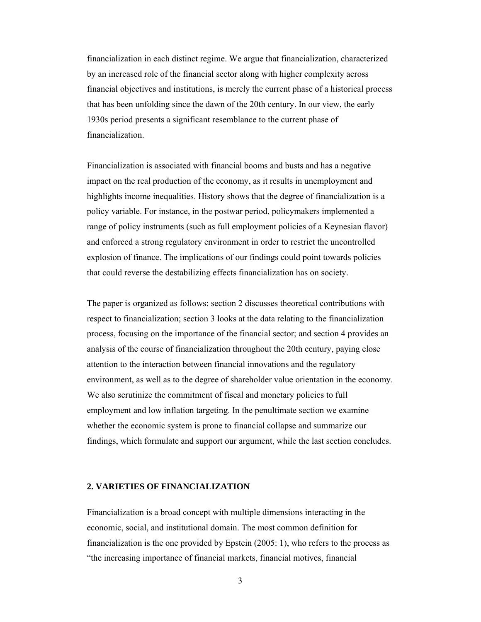financialization in each distinct regime. We argue that financialization, characterized by an increased role of the financial sector along with higher complexity across financial objectives and institutions, is merely the current phase of a historical process that has been unfolding since the dawn of the 20th century. In our view, the early 1930s period presents a significant resemblance to the current phase of financialization.

Financialization is associated with financial booms and busts and has a negative impact on the real production of the economy, as it results in unemployment and highlights income inequalities. History shows that the degree of financialization is a policy variable. For instance, in the postwar period, policymakers implemented a range of policy instruments (such as full employment policies of a Keynesian flavor) and enforced a strong regulatory environment in order to restrict the uncontrolled explosion of finance. The implications of our findings could point towards policies that could reverse the destabilizing effects financialization has on society.

The paper is organized as follows: section 2 discusses theoretical contributions with respect to financialization; section 3 looks at the data relating to the financialization process, focusing on the importance of the financial sector; and section 4 provides an analysis of the course of financialization throughout the 20th century, paying close attention to the interaction between financial innovations and the regulatory environment, as well as to the degree of shareholder value orientation in the economy. We also scrutinize the commitment of fiscal and monetary policies to full employment and low inflation targeting. In the penultimate section we examine whether the economic system is prone to financial collapse and summarize our findings, which formulate and support our argument, while the last section concludes.

#### **2. VARIETIES OF FINANCIALIZATION**

Financialization is a broad concept with multiple dimensions interacting in the economic, social, and institutional domain. The most common definition for financialization is the one provided by Epstein (2005: 1), who refers to the process as "the increasing importance of financial markets, financial motives, financial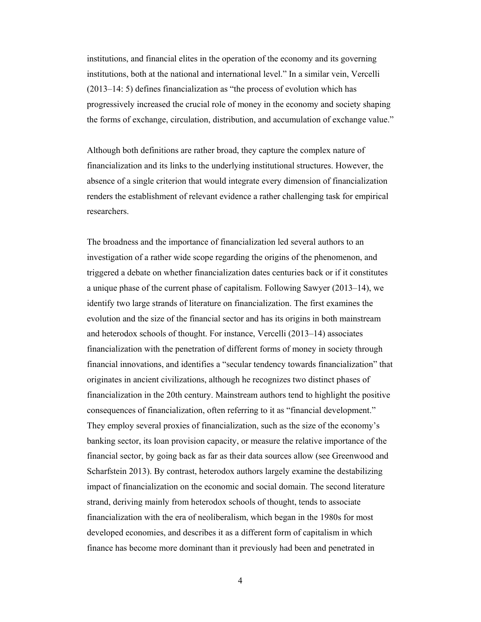institutions, and financial elites in the operation of the economy and its governing institutions, both at the national and international level." In a similar vein, Vercelli (2013–14: 5) defines financialization as "the process of evolution which has progressively increased the crucial role of money in the economy and society shaping the forms of exchange, circulation, distribution, and accumulation of exchange value."

Although both definitions are rather broad, they capture the complex nature of financialization and its links to the underlying institutional structures. However, the absence of a single criterion that would integrate every dimension of financialization renders the establishment of relevant evidence a rather challenging task for empirical researchers.

The broadness and the importance of financialization led several authors to an investigation of a rather wide scope regarding the origins of the phenomenon, and triggered a debate on whether financialization dates centuries back or if it constitutes a unique phase of the current phase of capitalism. Following Sawyer (2013–14), we identify two large strands of literature on financialization. The first examines the evolution and the size of the financial sector and has its origins in both mainstream and heterodox schools of thought. For instance, Vercelli (2013–14) associates financialization with the penetration of different forms of money in society through financial innovations, and identifies a "secular tendency towards financialization" that originates in ancient civilizations, although he recognizes two distinct phases of financialization in the 20th century. Mainstream authors tend to highlight the positive consequences of financialization, often referring to it as "financial development." They employ several proxies of financialization, such as the size of the economy's banking sector, its loan provision capacity, or measure the relative importance of the financial sector, by going back as far as their data sources allow (see Greenwood and Scharfstein 2013). By contrast, heterodox authors largely examine the destabilizing impact of financialization on the economic and social domain. The second literature strand, deriving mainly from heterodox schools of thought, tends to associate financialization with the era of neoliberalism, which began in the 1980s for most developed economies, and describes it as a different form of capitalism in which finance has become more dominant than it previously had been and penetrated in

4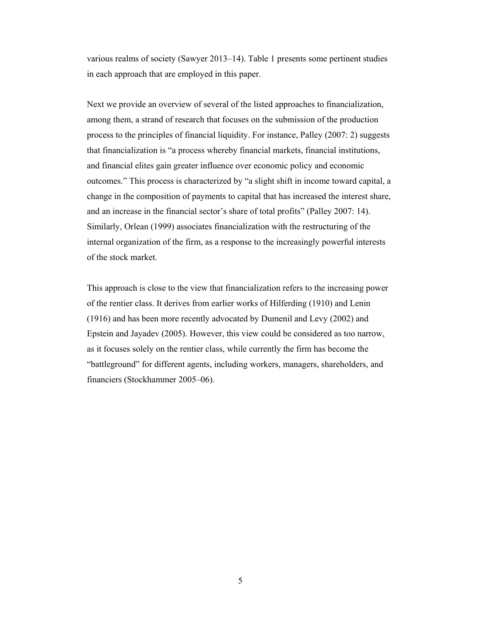various realms of society (Sawyer 2013–14). Table 1 presents some pertinent studies in each approach that are employed in this paper.

Next we provide an overview of several of the listed approaches to financialization, among them, a strand of research that focuses on the submission of the production process to the principles of financial liquidity. For instance, Palley (2007: 2) suggests that financialization is "a process whereby financial markets, financial institutions, and financial elites gain greater influence over economic policy and economic outcomes." This process is characterized by "a slight shift in income toward capital, a change in the composition of payments to capital that has increased the interest share, and an increase in the financial sector's share of total profits" (Palley 2007: 14). Similarly, Orlean (1999) associates financialization with the restructuring of the internal organization of the firm, as a response to the increasingly powerful interests of the stock market.

This approach is close to the view that financialization refers to the increasing power of the rentier class. It derives from earlier works of Hilferding (1910) and Lenin (1916) and has been more recently advocated by Dumenil and Levy (2002) and Epstein and Jayadev (2005). However, this view could be considered as too narrow, as it focuses solely on the rentier class, while currently the firm has become the "battleground" for different agents, including workers, managers, shareholders, and financiers (Stockhammer 2005–06).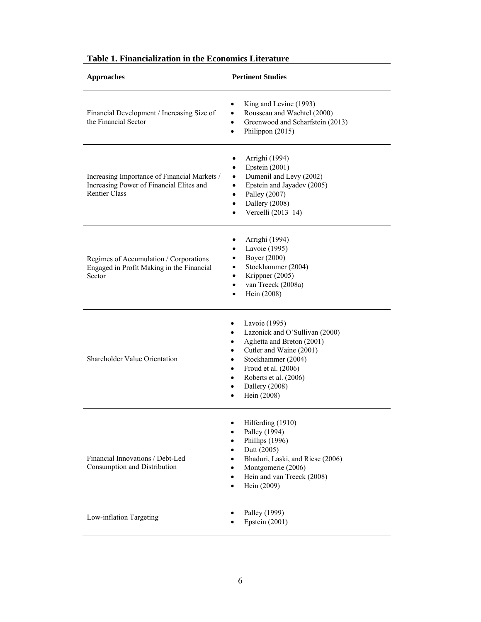| <b>Approaches</b>                                                                                                | <b>Pertinent Studies</b>                                                                                                                                                                                                                                                                                             |  |  |
|------------------------------------------------------------------------------------------------------------------|----------------------------------------------------------------------------------------------------------------------------------------------------------------------------------------------------------------------------------------------------------------------------------------------------------------------|--|--|
| Financial Development / Increasing Size of<br>the Financial Sector                                               | King and Levine (1993)<br>$\bullet$<br>Rousseau and Wachtel (2000)<br>$\bullet$<br>Greenwood and Scharfstein (2013)<br>$\bullet$<br>Philippon (2015)<br>$\bullet$                                                                                                                                                    |  |  |
| Increasing Importance of Financial Markets /<br>Increasing Power of Financial Elites and<br><b>Rentier Class</b> | Arrighi (1994)<br>٠<br>Epstein (2001)<br>$\bullet$<br>Dumenil and Levy (2002)<br>$\bullet$<br>Epstein and Jayadev (2005)<br>$\bullet$<br>Palley (2007)<br>$\bullet$<br>Dallery (2008)<br>$\bullet$<br>Vercelli (2013-14)<br>$\bullet$                                                                                |  |  |
| Regimes of Accumulation / Corporations<br>Engaged in Profit Making in the Financial<br>Sector                    | Arrighi (1994)<br>٠<br>Lavoie (1995)<br>$\bullet$<br>Boyer (2000)<br>$\bullet$<br>Stockhammer (2004)<br>٠<br>Krippner (2005)<br>٠<br>van Treeck (2008a)<br>$\bullet$<br>Hein (2008)<br>$\bullet$                                                                                                                     |  |  |
| <b>Shareholder Value Orientation</b>                                                                             | Lavoie (1995)<br>٠<br>Lazonick and O'Sullivan (2000)<br>٠<br>Aglietta and Breton (2001)<br>$\bullet$<br>Cutler and Waine (2001)<br>$\bullet$<br>Stockhammer (2004)<br>$\bullet$<br>Froud et al. (2006)<br>$\bullet$<br>Roberts et al. (2006)<br>$\bullet$<br>Dallery (2008)<br>$\bullet$<br>Hein (2008)<br>$\bullet$ |  |  |
| Financial Innovations / Debt-Led<br>Consumption and Distribution                                                 | Hilferding (1910)<br>Palley (1994)<br>Phillips (1996)<br>Dutt (2005)<br>$\bullet$<br>Bhaduri, Laski, and Riese (2006)<br>$\bullet$<br>Montgomerie (2006)<br>$\bullet$<br>Hein and van Treeck (2008)<br>$\bullet$<br>Hein (2009)<br>$\bullet$                                                                         |  |  |
| Low-inflation Targeting                                                                                          | Palley (1999)<br>Epstein (2001)                                                                                                                                                                                                                                                                                      |  |  |

## **Table 1. Financialization in the Economics Literature**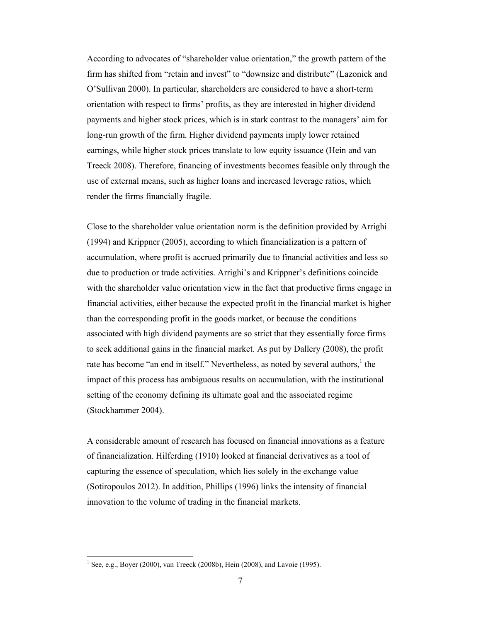According to advocates of "shareholder value orientation," the growth pattern of the firm has shifted from "retain and invest" to "downsize and distribute" (Lazonick and O'Sullivan 2000). In particular, shareholders are considered to have a short-term orientation with respect to firms' profits, as they are interested in higher dividend payments and higher stock prices, which is in stark contrast to the managers' aim for long-run growth of the firm. Higher dividend payments imply lower retained earnings, while higher stock prices translate to low equity issuance (Hein and van Treeck 2008). Therefore, financing of investments becomes feasible only through the use of external means, such as higher loans and increased leverage ratios, which render the firms financially fragile.

Close to the shareholder value orientation norm is the definition provided by Arrighi (1994) and Krippner (2005), according to which financialization is a pattern of accumulation, where profit is accrued primarily due to financial activities and less so due to production or trade activities. Arrighi's and Krippner's definitions coincide with the shareholder value orientation view in the fact that productive firms engage in financial activities, either because the expected profit in the financial market is higher than the corresponding profit in the goods market, or because the conditions associated with high dividend payments are so strict that they essentially force firms to seek additional gains in the financial market. As put by Dallery (2008), the profit rate has become "an end in itself." Nevertheless, as noted by several authors,  $\frac{1}{1}$  the impact of this process has ambiguous results on accumulation, with the institutional setting of the economy defining its ultimate goal and the associated regime (Stockhammer 2004).

A considerable amount of research has focused on financial innovations as a feature of financialization. Hilferding (1910) looked at financial derivatives as a tool of capturing the essence of speculation, which lies solely in the exchange value (Sotiropoulos 2012). In addition, Phillips (1996) links the intensity of financial innovation to the volume of trading in the financial markets.

<sup>&</sup>lt;sup>1</sup> See, e.g., Boyer (2000), van Treeck (2008b), Hein (2008), and Lavoie (1995).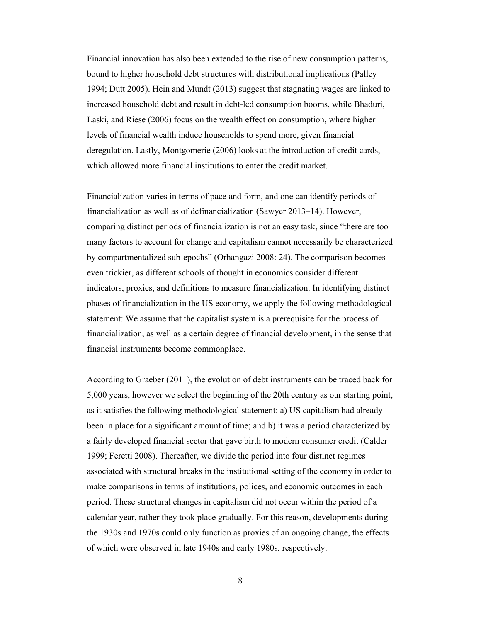Financial innovation has also been extended to the rise of new consumption patterns, bound to higher household debt structures with distributional implications (Palley 1994; Dutt 2005). Hein and Mundt (2013) suggest that stagnating wages are linked to increased household debt and result in debt-led consumption booms, while Bhaduri, Laski, and Riese (2006) focus on the wealth effect on consumption, where higher levels of financial wealth induce households to spend more, given financial deregulation. Lastly, Montgomerie (2006) looks at the introduction of credit cards, which allowed more financial institutions to enter the credit market.

Financialization varies in terms of pace and form, and one can identify periods of financialization as well as of definancialization (Sawyer 2013–14). However, comparing distinct periods of financialization is not an easy task, since "there are too many factors to account for change and capitalism cannot necessarily be characterized by compartmentalized sub-epochs" (Orhangazi 2008: 24). The comparison becomes even trickier, as different schools of thought in economics consider different indicators, proxies, and definitions to measure financialization. In identifying distinct phases of financialization in the US economy, we apply the following methodological statement: We assume that the capitalist system is a prerequisite for the process of financialization, as well as a certain degree of financial development, in the sense that financial instruments become commonplace.

According to Graeber (2011), the evolution of debt instruments can be traced back for 5,000 years, however we select the beginning of the 20th century as our starting point, as it satisfies the following methodological statement: a) US capitalism had already been in place for a significant amount of time; and b) it was a period characterized by a fairly developed financial sector that gave birth to modern consumer credit (Calder 1999; Feretti 2008). Thereafter, we divide the period into four distinct regimes associated with structural breaks in the institutional setting of the economy in order to make comparisons in terms of institutions, polices, and economic outcomes in each period. These structural changes in capitalism did not occur within the period of a calendar year, rather they took place gradually. For this reason, developments during the 1930s and 1970s could only function as proxies of an ongoing change, the effects of which were observed in late 1940s and early 1980s, respectively.

8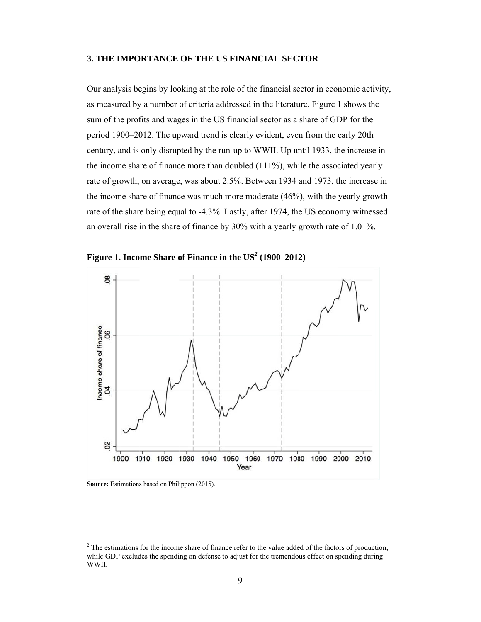## 3. THE IMPORTANCE OF THE US FINANCIAL SECTOR

Our analysis begins by looking at the role of the financial sector in economic activity, as measured by a number of criteria addressed in the literature. Figure 1 shows the sum of the profits and wages in the US financial sector as a share of GDP for the period 1900–2012. The upward trend is clearly evident, even from the early 20th century, and is only disrupted by the run-up to WWII. Up until 1933, the increase in the income share of finance more than doubled  $(111\%)$ , while the associated yearly rate of growth, on average, was about 2.5%. Between 1934 and 1973, the increase in the income share of finance was much more moderate (46%), with the yearly growth rate of the share being equal to -4.3%. Lastly, after 1974, the US economy witnessed an overall rise in the share of finance by 30% with a yearly growth rate of 1.01%.



Figure 1. Income Share of Finance in the US<sup>2</sup> (1900–2012)

Source: Estimations based on Philippon (2015).

<sup>&</sup>lt;sup>2</sup> The estimations for the income share of finance refer to the value added of the factors of production, while GDP excludes the spending on defense to adjust for the tremendous effect on spending during WWII.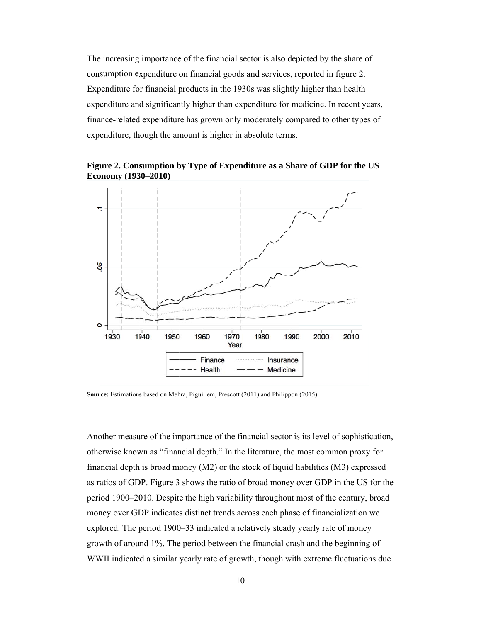The increasing importance of the financial sector is also depicted by the share of consumption expenditure on financial goods and services, reported in figure 2. Expenditure for financial products in the 1930s was slightly higher than health expenditure and significantly higher than expenditure for medicine. In recent years, finance-related expenditure has grown only moderately compared to other types of expenditure, though the amount is higher in absolute terms.

Figure 2. Consumption by Type of Expenditure as a Share of GDP for the US Economy (1930–2010)



Source: Estimations based on Mehra, Piguillem, Prescott (2011) and Philippon (2015).

Another measure of the importance of the financial sector is its level of sophistication, otherwise known as "financial depth." In the literature, the most common proxy for financial depth is broad money (M2) or the stock of liquid liabilities (M3) expressed as ratios of GDP. Figure 3 shows the ratio of broad money over GDP in the US for the period 1900–2010. Despite the high variability throughout most of the century, broad money over GDP indicates distinct trends across each phase of financialization we explored. The period 1900–33 indicated a relatively steady yearly rate of money growth of around 1%. The period between the financial crash and the beginning of WWII indicated a similar yearly rate of growth, though with extreme fluctuations due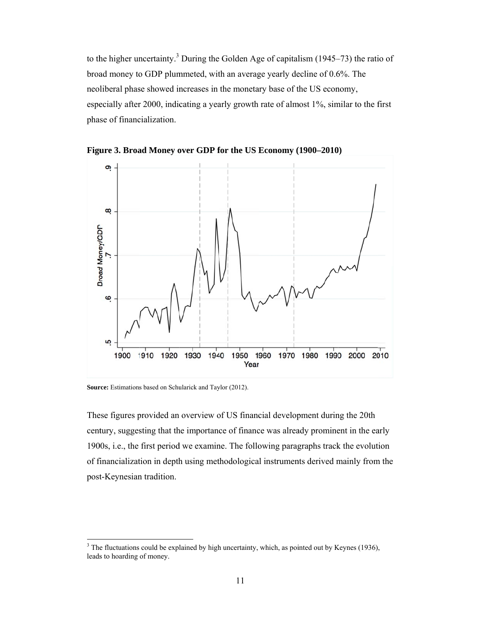to the higher uncertainty.<sup>3</sup> During the Golden Age of capitalism  $(1945-73)$  the ratio of broad money to GDP plummeted, with an average yearly decline of 0.6%. The neoliberal phase showed increases in the monetary base of the US economy, especially after 2000, indicating a yearly growth rate of almost 1%, similar to the first phase of financialization.

Figure 3. Broad Money over GDP for the US Economy (1900–2010)



Source: Estimations based on Schularick and Taylor (2012).

These figures provided an overview of US financial development during the 20th century, suggesting that the importance of finance was already prominent in the early 1900s, i.e., the first period we examine. The following paragraphs track the evolution of financialization in depth using methodological instruments derived mainly from the post-Keynesian tradition.

 $3$  The fluctuations could be explained by high uncertainty, which, as pointed out by Keynes (1936), leads to hoarding of money.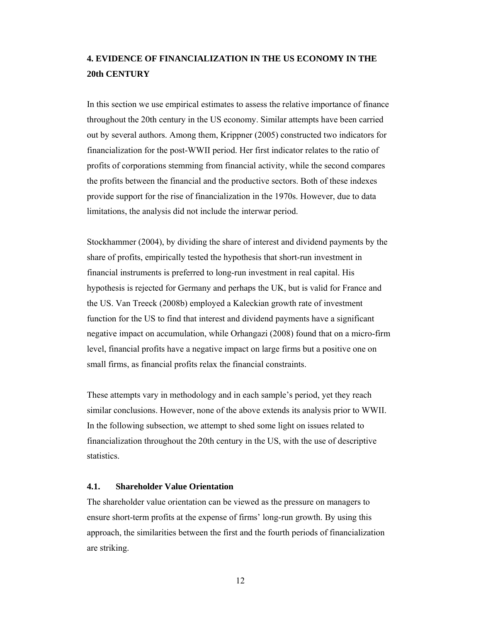## **4. EVIDENCE OF FINANCIALIZATION IN THE US ECONOMY IN THE 20th CENTURY**

In this section we use empirical estimates to assess the relative importance of finance throughout the 20th century in the US economy. Similar attempts have been carried out by several authors. Among them, Krippner (2005) constructed two indicators for financialization for the post-WWII period. Her first indicator relates to the ratio of profits of corporations stemming from financial activity, while the second compares the profits between the financial and the productive sectors. Both of these indexes provide support for the rise of financialization in the 1970s. However, due to data limitations, the analysis did not include the interwar period.

Stockhammer (2004), by dividing the share of interest and dividend payments by the share of profits, empirically tested the hypothesis that short-run investment in financial instruments is preferred to long-run investment in real capital. His hypothesis is rejected for Germany and perhaps the UK, but is valid for France and the US. Van Treeck (2008b) employed a Kaleckian growth rate of investment function for the US to find that interest and dividend payments have a significant negative impact on accumulation, while Orhangazi (2008) found that on a micro-firm level, financial profits have a negative impact on large firms but a positive one on small firms, as financial profits relax the financial constraints.

These attempts vary in methodology and in each sample's period, yet they reach similar conclusions. However, none of the above extends its analysis prior to WWII. In the following subsection, we attempt to shed some light on issues related to financialization throughout the 20th century in the US, with the use of descriptive statistics.

## **4.1. Shareholder Value Orientation**

The shareholder value orientation can be viewed as the pressure on managers to ensure short-term profits at the expense of firms' long-run growth. By using this approach, the similarities between the first and the fourth periods of financialization are striking.

12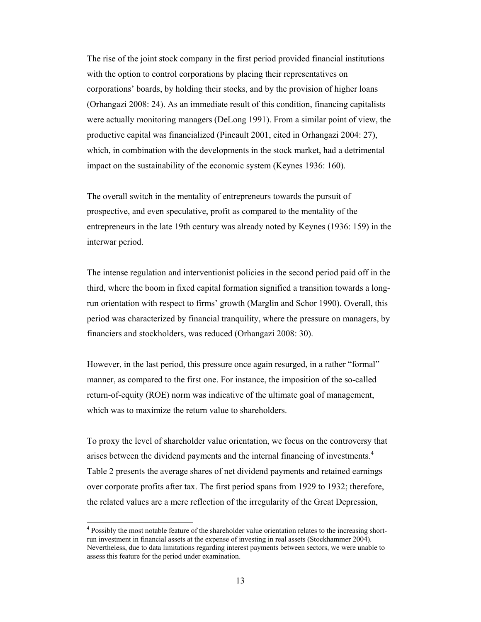The rise of the joint stock company in the first period provided financial institutions with the option to control corporations by placing their representatives on corporations' boards, by holding their stocks, and by the provision of higher loans (Orhangazi 2008: 24). As an immediate result of this condition, financing capitalists were actually monitoring managers (DeLong 1991). From a similar point of view, the productive capital was financialized (Pineault 2001, cited in Orhangazi 2004: 27), which, in combination with the developments in the stock market, had a detrimental impact on the sustainability of the economic system (Keynes 1936: 160).

The overall switch in the mentality of entrepreneurs towards the pursuit of prospective, and even speculative, profit as compared to the mentality of the entrepreneurs in the late 19th century was already noted by Keynes (1936: 159) in the interwar period.

The intense regulation and interventionist policies in the second period paid off in the third, where the boom in fixed capital formation signified a transition towards a longrun orientation with respect to firms' growth (Marglin and Schor 1990). Overall, this period was characterized by financial tranquility, where the pressure on managers, by financiers and stockholders, was reduced (Orhangazi 2008: 30).

However, in the last period, this pressure once again resurged, in a rather "formal" manner, as compared to the first one. For instance, the imposition of the so-called return-of-equity (ROE) norm was indicative of the ultimate goal of management, which was to maximize the return value to shareholders.

To proxy the level of shareholder value orientation, we focus on the controversy that arises between the dividend payments and the internal financing of investments.<sup>4</sup> Table 2 presents the average shares of net dividend payments and retained earnings over corporate profits after tax. The first period spans from 1929 to 1932; therefore, the related values are a mere reflection of the irregularity of the Great Depression,

 $\overline{a}$ 

<sup>&</sup>lt;sup>4</sup> Possibly the most notable feature of the shareholder value orientation relates to the increasing shortrun investment in financial assets at the expense of investing in real assets (Stockhammer 2004). Nevertheless, due to data limitations regarding interest payments between sectors, we were unable to assess this feature for the period under examination.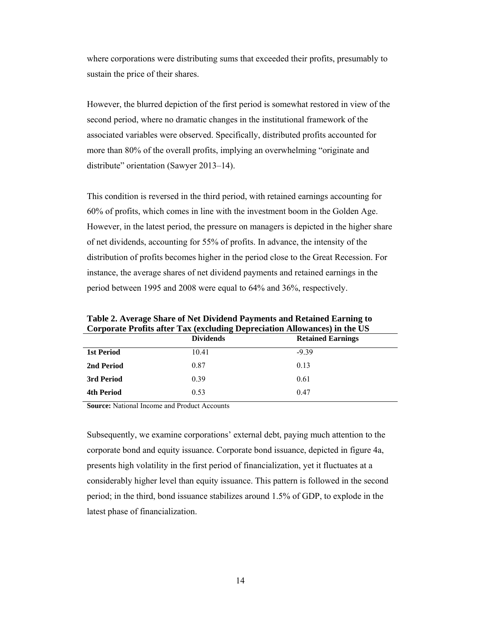where corporations were distributing sums that exceeded their profits, presumably to sustain the price of their shares.

However, the blurred depiction of the first period is somewhat restored in view of the second period, where no dramatic changes in the institutional framework of the associated variables were observed. Specifically, distributed profits accounted for more than 80% of the overall profits, implying an overwhelming "originate and distribute" orientation (Sawyer 2013–14).

This condition is reversed in the third period, with retained earnings accounting for 60% of profits, which comes in line with the investment boom in the Golden Age. However, in the latest period, the pressure on managers is depicted in the higher share of net dividends, accounting for 55% of profits. In advance, the intensity of the distribution of profits becomes higher in the period close to the Great Recession. For instance, the average shares of net dividend payments and retained earnings in the period between 1995 and 2008 were equal to 64% and 36%, respectively.

| Corporate Froms after Tax (excluding Depreciation Allowances) in the US |                  |                          |  |  |  |
|-------------------------------------------------------------------------|------------------|--------------------------|--|--|--|
|                                                                         | <b>Dividends</b> | <b>Retained Earnings</b> |  |  |  |
| <b>1st Period</b>                                                       | 10.41            | $-9.39$                  |  |  |  |
| 2nd Period                                                              | 0.87             | 0.13                     |  |  |  |
| 3rd Period                                                              | 0.39             | 0.61                     |  |  |  |
| <b>4th Period</b>                                                       | 0.53             | 0.47                     |  |  |  |
|                                                                         |                  |                          |  |  |  |

**Table 2. Average Share of Net Dividend Payments and Retained Earning to Corporate Profits after Tax (excluding Depreciation Allowances) in the US** 

**Source:** National Income and Product Accounts

Subsequently, we examine corporations' external debt, paying much attention to the corporate bond and equity issuance. Corporate bond issuance, depicted in figure 4a, presents high volatility in the first period of financialization, yet it fluctuates at a considerably higher level than equity issuance. This pattern is followed in the second period; in the third, bond issuance stabilizes around 1.5% of GDP, to explode in the latest phase of financialization.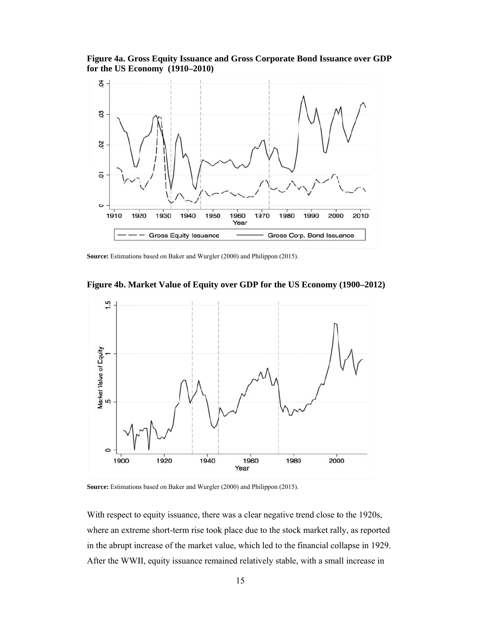Figure 4a. Gross Equity Issuance and Gross Corporate Bond Issuance over GDP for the US Economy (1910–2010)



Source: Estimations based on Baker and Wurgler (2000) and Philippon (2015).



Figure 4b. Market Value of Equity over GDP for the US Economy (1900-2012)

Source: Estimations based on Baker and Wurgler (2000) and Philippon (2015).

With respect to equity issuance, there was a clear negative trend close to the 1920s, where an extreme short-term rise took place due to the stock market rally, as reported in the abrupt increase of the market value, which led to the financial collapse in 1929. After the WWII, equity issuance remained relatively stable, with a small increase in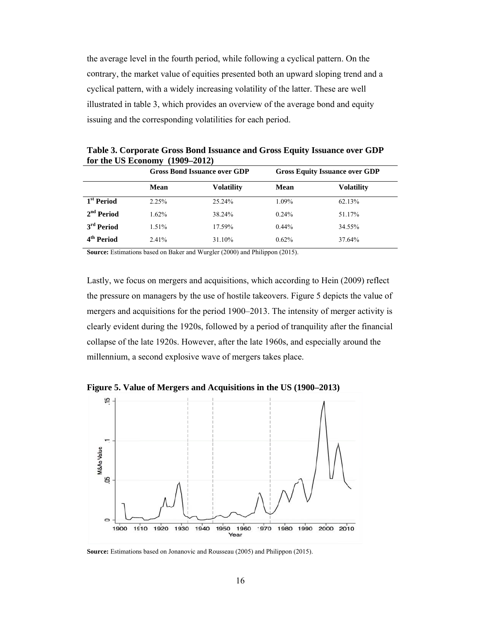the average level in the fourth period, while following a cyclical pattern. On the contrary, the market value of equities presented both an upward sloping trend and a cyclical pattern, with a widely increasing volatility of the latter. These are well illustrated in table 3, which provides an overview of the average bond and equity issuing and the corresponding volatilities for each period.

|                        |             | <b>Gross Bond Issuance over GDP</b> |             | <b>Gross Equity Issuance over GDP</b> |  |
|------------------------|-------------|-------------------------------------|-------------|---------------------------------------|--|
|                        | <b>Mean</b> | <b>Volatility</b>                   | <b>Mean</b> | <b>Volatility</b>                     |  |
| 1 <sup>st</sup> Period | 2.25%       | 25.24%                              | 1.09%       | 62.13%                                |  |
| $2nd$ Period           | $1.62\%$    | 38.24%                              | $0.24\%$    | 51.17%                                |  |
| 3 <sup>rd</sup> Period | 1.51%       | 17.59%                              | $0.44\%$    | 34.55%                                |  |
| 4 <sup>th</sup> Period | $2.41\%$    | 31.10%                              | 0.62%       | 37.64%                                |  |

Table 3. Corporate Gross Bond Issuance and Gross Equity Issuance over GDP for the US Economy  $(1909-2012)$ 

Source: Estimations based on Baker and Wurgler (2000) and Philippon (2015).

Lastly, we focus on mergers and acquisitions, which according to Hein (2009) reflect the pressure on managers by the use of hostile takeovers. Figure 5 depicts the value of mergers and acquisitions for the period 1900–2013. The intensity of merger activity is clearly evident during the 1920s, followed by a period of tranquility after the financial collapse of the late 1920s. However, after the late 1960s, and especially around the millennium, a second explosive wave of mergers takes place.

Figure 5. Value of Mergers and Acquisitions in the US (1900–2013)



Source: Estimations based on Jonanovic and Rousseau (2005) and Philippon (2015).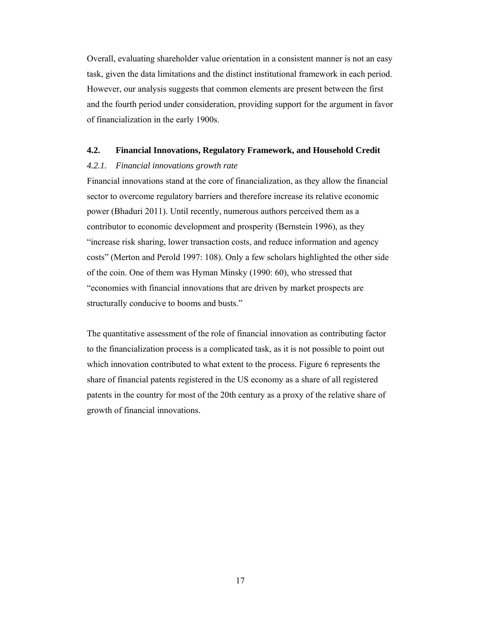Overall, evaluating shareholder value orientation in a consistent manner is not an easy task, given the data limitations and the distinct institutional framework in each period. However, our analysis suggests that common elements are present between the first and the fourth period under consideration, providing support for the argument in favor of financialization in the early 1900s.

## **4.2. Financial Innovations, Regulatory Framework, and Household Credit**

#### *4.2.1. Financial innovations growth rate*

Financial innovations stand at the core of financialization, as they allow the financial sector to overcome regulatory barriers and therefore increase its relative economic power (Bhaduri 2011). Until recently, numerous authors perceived them as a contributor to economic development and prosperity (Bernstein 1996), as they "increase risk sharing, lower transaction costs, and reduce information and agency costs" (Merton and Perold 1997: 108). Only a few scholars highlighted the other side of the coin. One of them was Hyman Minsky (1990: 60), who stressed that "economies with financial innovations that are driven by market prospects are structurally conducive to booms and busts."

The quantitative assessment of the role of financial innovation as contributing factor to the financialization process is a complicated task, as it is not possible to point out which innovation contributed to what extent to the process. Figure 6 represents the share of financial patents registered in the US economy as a share of all registered patents in the country for most of the 20th century as a proxy of the relative share of growth of financial innovations.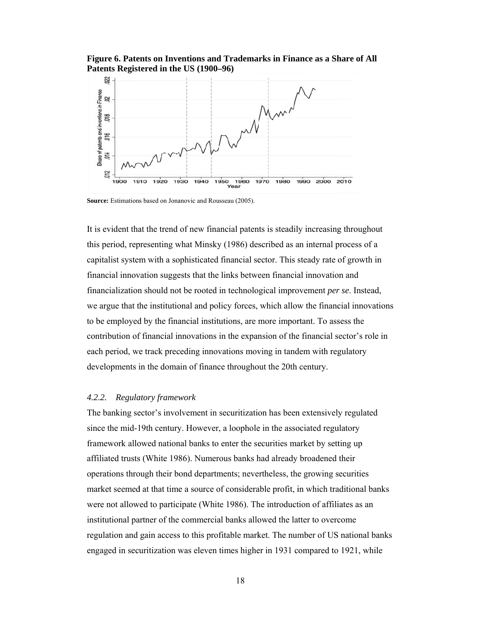Figure 6. Patents on Inventions and Trademarks in Finance as a Share of All Patents Registered in the US (1900-96)



Source: Estimations based on Jonanovic and Rousseau (2005).

It is evident that the trend of new financial patents is steadily increasing throughout this period, representing what Minsky (1986) described as an internal process of a capitalist system with a sophisticated financial sector. This steady rate of growth in financial innovation suggests that the links between financial innovation and financialization should not be rooted in technological improvement *per se*. Instead, we argue that the institutional and policy forces, which allow the financial innovations to be employed by the financial institutions, are more important. To assess the contribution of financial innovations in the expansion of the financial sector's role in each period, we track preceding innovations moving in tandem with regulatory developments in the domain of finance throughout the 20th century.

#### 4.2.2. Regulatory framework

The banking sector's involvement in securitization has been extensively regulated since the mid-19th century. However, a loophole in the associated regulatory framework allowed national banks to enter the securities market by setting up affiliated trusts (White 1986). Numerous banks had already broadened their operations through their bond departments; nevertheless, the growing securities market seemed at that time a source of considerable profit, in which traditional banks were not allowed to participate (White 1986). The introduction of affiliates as an institutional partner of the commercial banks allowed the latter to overcome regulation and gain access to this profitable market. The number of US national banks engaged in securitization was eleven times higher in 1931 compared to 1921, while

18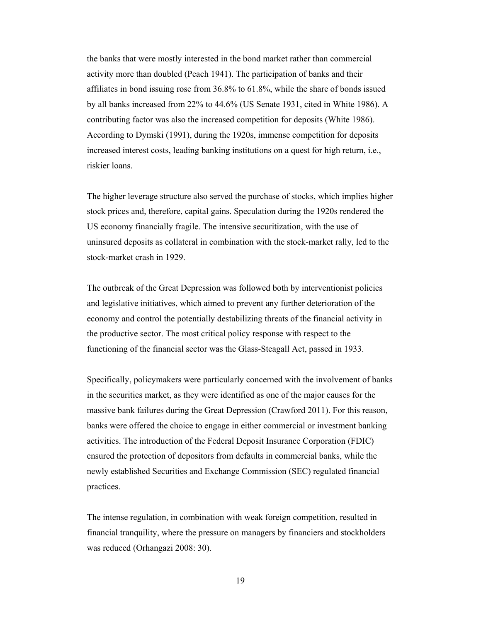the banks that were mostly interested in the bond market rather than commercial activity more than doubled (Peach 1941). The participation of banks and their affiliates in bond issuing rose from 36.8% to 61.8%, while the share of bonds issued by all banks increased from 22% to 44.6% (US Senate 1931, cited in White 1986). A contributing factor was also the increased competition for deposits (White 1986). According to Dymski (1991), during the 1920s, immense competition for deposits increased interest costs, leading banking institutions on a quest for high return, i.e., riskier loans.

The higher leverage structure also served the purchase of stocks, which implies higher stock prices and, therefore, capital gains. Speculation during the 1920s rendered the US economy financially fragile. The intensive securitization, with the use of uninsured deposits as collateral in combination with the stock-market rally, led to the stock-market crash in 1929.

The outbreak of the Great Depression was followed both by interventionist policies and legislative initiatives, which aimed to prevent any further deterioration of the economy and control the potentially destabilizing threats of the financial activity in the productive sector. The most critical policy response with respect to the functioning of the financial sector was the Glass-Steagall Act, passed in 1933.

Specifically, policymakers were particularly concerned with the involvement of banks in the securities market, as they were identified as one of the major causes for the massive bank failures during the Great Depression (Crawford 2011). For this reason, banks were offered the choice to engage in either commercial or investment banking activities. The introduction of the Federal Deposit Insurance Corporation (FDIC) ensured the protection of depositors from defaults in commercial banks, while the newly established Securities and Exchange Commission (SEC) regulated financial practices.

The intense regulation, in combination with weak foreign competition, resulted in financial tranquility, where the pressure on managers by financiers and stockholders was reduced (Orhangazi 2008: 30).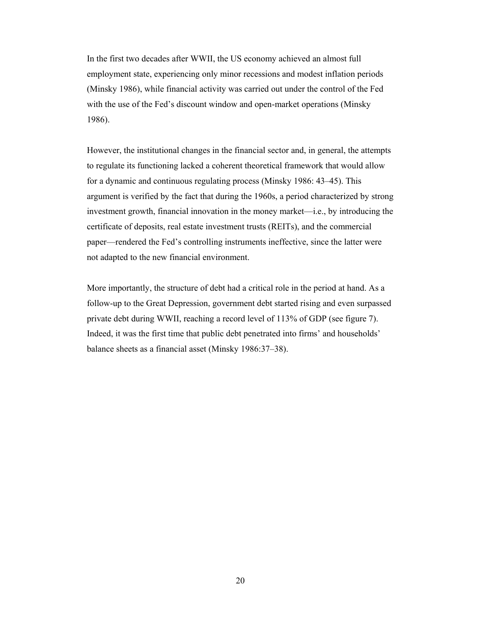In the first two decades after WWII, the US economy achieved an almost full employment state, experiencing only minor recessions and modest inflation periods (Minsky 1986), while financial activity was carried out under the control of the Fed with the use of the Fed's discount window and open-market operations (Minsky 1986).

However, the institutional changes in the financial sector and, in general, the attempts to regulate its functioning lacked a coherent theoretical framework that would allow for a dynamic and continuous regulating process (Minsky 1986: 43–45). This argument is verified by the fact that during the 1960s, a period characterized by strong investment growth, financial innovation in the money market—i.e., by introducing the certificate of deposits, real estate investment trusts (REITs), and the commercial paper—rendered the Fed's controlling instruments ineffective, since the latter were not adapted to the new financial environment.

More importantly, the structure of debt had a critical role in the period at hand. As a follow-up to the Great Depression, government debt started rising and even surpassed private debt during WWII, reaching a record level of 113% of GDP (see figure 7). Indeed, it was the first time that public debt penetrated into firms' and households' balance sheets as a financial asset (Minsky 1986:37–38).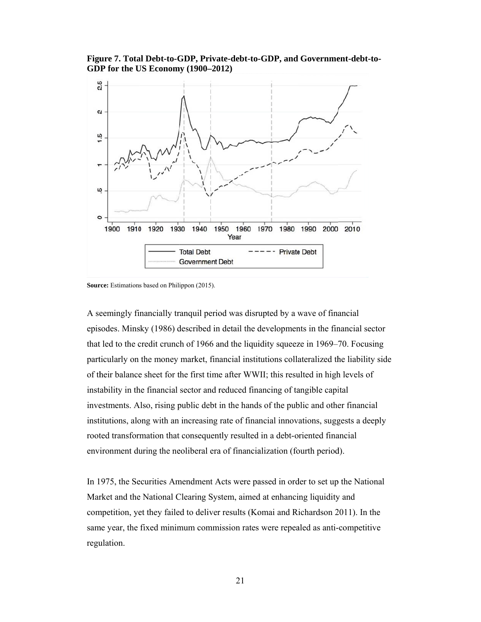Figure 7. Total Debt-to-GDP, Private-debt-to-GDP, and Government-debt-to-GDP for the US Economy (1900–2012)



Source: Estimations based on Philippon (2015).

A seemingly financially tranquil period was disrupted by a wave of financial episodes. Minsky (1986) described in detail the developments in the financial sector that led to the credit crunch of 1966 and the liquidity squeeze in 1969–70. Focusing particularly on the money market, financial institutions collateralized the liability side of their balance sheet for the first time after WWII; this resulted in high levels of instability in the financial sector and reduced financing of tangible capital investments. Also, rising public debt in the hands of the public and other financial institutions, along with an increasing rate of financial innovations, suggests a deeply rooted transformation that consequently resulted in a debt-oriented financial environment during the neoliberal era of financialization (fourth period).

In 1975, the Securities Amendment Acts were passed in order to set up the National Market and the National Clearing System, aimed at enhancing liquidity and competition, yet they failed to deliver results (Komai and Richardson 2011). In the same year, the fixed minimum commission rates were repealed as anti-competitive regulation.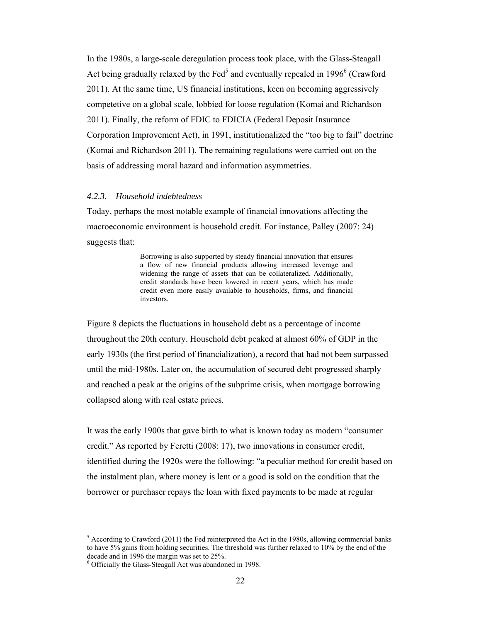In the 1980s, a large-scale deregulation process took place, with the Glass-Steagall Act being gradually relaxed by the Fed<sup>5</sup> and eventually repealed in 1996<sup>6</sup> (Crawford 2011). At the same time, US financial institutions, keen on becoming aggressively competetive on a global scale, lobbied for loose regulation (Komai and Richardson 2011). Finally, the reform of FDIC to FDICIA (Federal Deposit Insurance Corporation Improvement Act), in 1991, institutionalized the "too big to fail" doctrine (Komai and Richardson 2011). The remaining regulations were carried out on the basis of addressing moral hazard and information asymmetries.

#### *4.2.3. Household indebtedness*

Today, perhaps the most notable example of financial innovations affecting the macroeconomic environment is household credit. For instance, Palley (2007: 24) suggests that:

> Borrowing is also supported by steady financial innovation that ensures a flow of new financial products allowing increased leverage and widening the range of assets that can be collateralized. Additionally, credit standards have been lowered in recent years, which has made credit even more easily available to households, firms, and financial investors.

Figure 8 depicts the fluctuations in household debt as a percentage of income throughout the 20th century. Household debt peaked at almost 60% of GDP in the early 1930s (the first period of financialization), a record that had not been surpassed until the mid-1980s. Later on, the accumulation of secured debt progressed sharply and reached a peak at the origins of the subprime crisis, when mortgage borrowing collapsed along with real estate prices.

It was the early 1900s that gave birth to what is known today as modern "consumer credit." As reported by Feretti (2008: 17), two innovations in consumer credit, identified during the 1920s were the following: "a peculiar method for credit based on the instalment plan, where money is lent or a good is sold on the condition that the borrower or purchaser repays the loan with fixed payments to be made at regular

 $\overline{a}$ 

 $<sup>5</sup>$  According to Crawford (2011) the Fed reinterpreted the Act in the 1980s, allowing commercial banks</sup> to have 5% gains from holding securities. The threshold was further relaxed to 10% by the end of the decade and in 1996 the margin was set to 25%.

<sup>6</sup> Officially the Glass-Steagall Act was abandoned in 1998.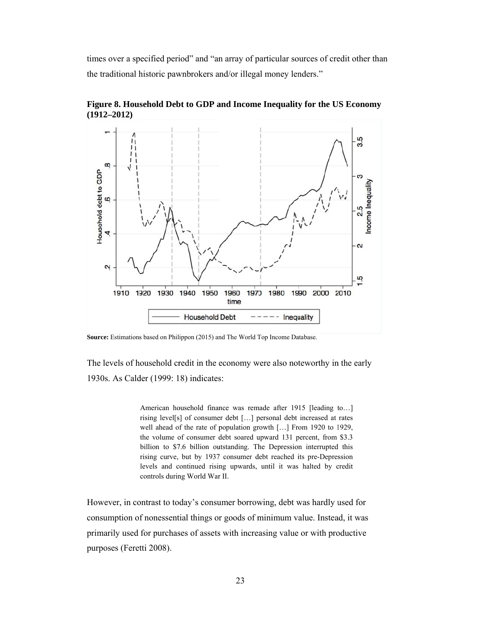times over a specified period" and "an array of particular sources of credit other than the traditional historic pawnbrokers and/or illegal money lenders."



Figure 8. Household Debt to GDP and Income Inequality for the US Economy  $(1912 - 2012)$ 

Source: Estimations based on Philippon (2015) and The World Top Income Database.

The levels of household credit in the economy were also noteworthy in the early 1930s. As Calder (1999: 18) indicates:

> American household finance was remade after 1915 [leading to...] rising level[s] of consumer debt [...] personal debt increased at rates well ahead of the rate of population growth [...] From 1920 to 1929, the volume of consumer debt soared upward 131 percent, from \$3.3 billion to \$7.6 billion outstanding. The Depression interrupted this rising curve, but by 1937 consumer debt reached its pre-Depression levels and continued rising upwards, until it was halted by credit controls during World War II.

However, in contrast to today's consumer borrowing, debt was hardly used for consumption of nonessential things or goods of minimum value. Instead, it was primarily used for purchases of assets with increasing value or with productive purposes (Feretti 2008).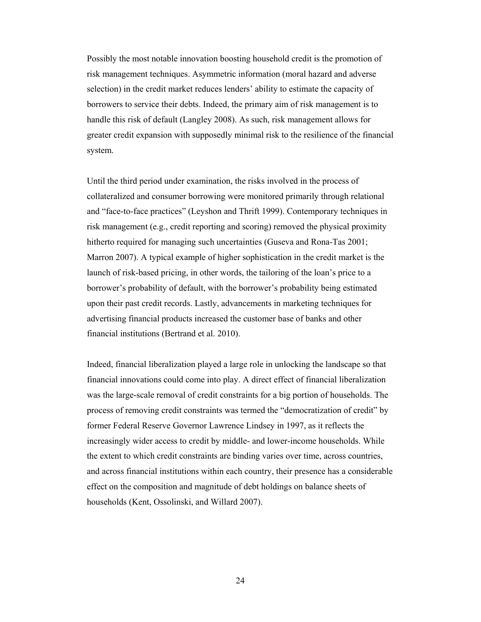Possibly the most notable innovation boosting household credit is the promotion of risk management techniques. Asymmetric information (moral hazard and adverse selection) in the credit market reduces lenders' ability to estimate the capacity of borrowers to service their debts. Indeed, the primary aim of risk management is to handle this risk of default (Langley 2008). As such, risk management allows for greater credit expansion with supposedly minimal risk to the resilience of the financial system.

Until the third period under examination, the risks involved in the process of collateralized and consumer borrowing were monitored primarily through relational and "face-to-face practices" (Leyshon and Thrift 1999). Contemporary techniques in risk management (e.g., credit reporting and scoring) removed the physical proximity hitherto required for managing such uncertainties (Guseva and Rona-Tas 2001; Marron 2007). A typical example of higher sophistication in the credit market is the launch of risk-based pricing, in other words, the tailoring of the loan's price to a borrower's probability of default, with the borrower's probability being estimated upon their past credit records. Lastly, advancements in marketing techniques for advertising financial products increased the customer base of banks and other financial institutions (Bertrand et al. 2010).

Indeed, financial liberalization played a large role in unlocking the landscape so that financial innovations could come into play. A direct effect of financial liberalization was the large-scale removal of credit constraints for a big portion of households. The process of removing credit constraints was termed the "democratization of credit" by former Federal Reserve Governor Lawrence Lindsey in 1997, as it reflects the increasingly wider access to credit by middle- and lower-income households. While the extent to which credit constraints are binding varies over time, across countries, and across financial institutions within each country, their presence has a considerable effect on the composition and magnitude of debt holdings on balance sheets of households (Kent, Ossolinski, and Willard 2007).

24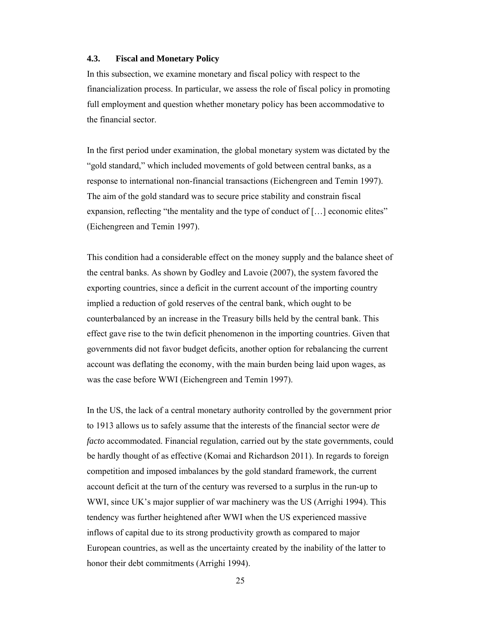## **4.3. Fiscal and Monetary Policy**

In this subsection, we examine monetary and fiscal policy with respect to the financialization process. In particular, we assess the role of fiscal policy in promoting full employment and question whether monetary policy has been accommodative to the financial sector.

In the first period under examination, the global monetary system was dictated by the "gold standard," which included movements of gold between central banks, as a response to international non-financial transactions (Eichengreen and Temin 1997). The aim of the gold standard was to secure price stability and constrain fiscal expansion, reflecting "the mentality and the type of conduct of [...] economic elites" (Eichengreen and Temin 1997).

This condition had a considerable effect on the money supply and the balance sheet of the central banks. As shown by Godley and Lavoie (2007), the system favored the exporting countries, since a deficit in the current account of the importing country implied a reduction of gold reserves of the central bank, which ought to be counterbalanced by an increase in the Treasury bills held by the central bank. This effect gave rise to the twin deficit phenomenon in the importing countries. Given that governments did not favor budget deficits, another option for rebalancing the current account was deflating the economy, with the main burden being laid upon wages, as was the case before WWI (Eichengreen and Temin 1997).

In the US, the lack of a central monetary authority controlled by the government prior to 1913 allows us to safely assume that the interests of the financial sector were *de facto* accommodated. Financial regulation, carried out by the state governments, could be hardly thought of as effective (Komai and Richardson 2011). In regards to foreign competition and imposed imbalances by the gold standard framework, the current account deficit at the turn of the century was reversed to a surplus in the run-up to WWI, since UK's major supplier of war machinery was the US (Arrighi 1994). This tendency was further heightened after WWI when the US experienced massive inflows of capital due to its strong productivity growth as compared to major European countries, as well as the uncertainty created by the inability of the latter to honor their debt commitments (Arrighi 1994).

25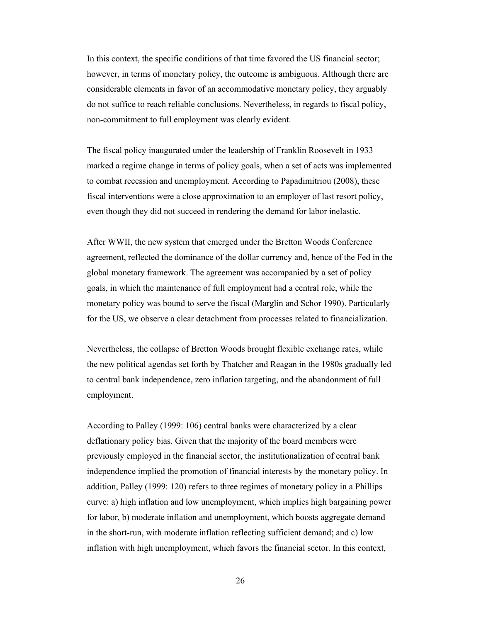In this context, the specific conditions of that time favored the US financial sector; however, in terms of monetary policy, the outcome is ambiguous. Although there are considerable elements in favor of an accommodative monetary policy, they arguably do not suffice to reach reliable conclusions. Nevertheless, in regards to fiscal policy, non-commitment to full employment was clearly evident.

The fiscal policy inaugurated under the leadership of Franklin Roosevelt in 1933 marked a regime change in terms of policy goals, when a set of acts was implemented to combat recession and unemployment. According to Papadimitriou (2008), these fiscal interventions were a close approximation to an employer of last resort policy, even though they did not succeed in rendering the demand for labor inelastic.

After WWII, the new system that emerged under the Bretton Woods Conference agreement, reflected the dominance of the dollar currency and, hence of the Fed in the global monetary framework. The agreement was accompanied by a set of policy goals, in which the maintenance of full employment had a central role, while the monetary policy was bound to serve the fiscal (Marglin and Schor 1990). Particularly for the US, we observe a clear detachment from processes related to financialization.

Nevertheless, the collapse of Bretton Woods brought flexible exchange rates, while the new political agendas set forth by Thatcher and Reagan in the 1980s gradually led to central bank independence, zero inflation targeting, and the abandonment of full employment.

According to Palley (1999: 106) central banks were characterized by a clear deflationary policy bias. Given that the majority of the board members were previously employed in the financial sector, the institutionalization of central bank independence implied the promotion of financial interests by the monetary policy. In addition, Palley (1999: 120) refers to three regimes of monetary policy in a Phillips curve: a) high inflation and low unemployment, which implies high bargaining power for labor, b) moderate inflation and unemployment, which boosts aggregate demand in the short-run, with moderate inflation reflecting sufficient demand; and c) low inflation with high unemployment, which favors the financial sector. In this context,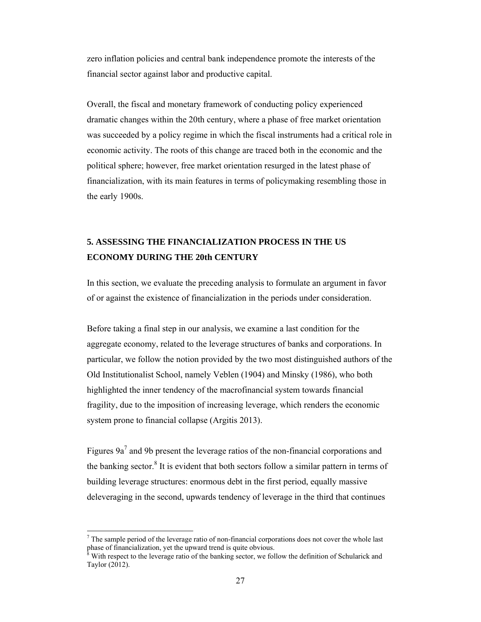zero inflation policies and central bank independence promote the interests of the financial sector against labor and productive capital.

Overall, the fiscal and monetary framework of conducting policy experienced dramatic changes within the 20th century, where a phase of free market orientation was succeeded by a policy regime in which the fiscal instruments had a critical role in economic activity. The roots of this change are traced both in the economic and the political sphere; however, free market orientation resurged in the latest phase of financialization, with its main features in terms of policymaking resembling those in the early 1900s.

# **5. ASSESSING THE FINANCIALIZATION PROCESS IN THE US ECONOMY DURING THE 20th CENTURY**

In this section, we evaluate the preceding analysis to formulate an argument in favor of or against the existence of financialization in the periods under consideration.

Before taking a final step in our analysis, we examine a last condition for the aggregate economy, related to the leverage structures of banks and corporations. In particular, we follow the notion provided by the two most distinguished authors of the Old Institutionalist School, namely Veblen (1904) and Minsky (1986), who both highlighted the inner tendency of the macrofinancial system towards financial fragility, due to the imposition of increasing leverage, which renders the economic system prone to financial collapse (Argitis 2013).

Figures  $9a^7$  and 9b present the leverage ratios of the non-financial corporations and the banking sector.<sup>8</sup> It is evident that both sectors follow a similar pattern in terms of building leverage structures: enormous debt in the first period, equally massive deleveraging in the second, upwards tendency of leverage in the third that continues

 $\overline{a}$ 

 $<sup>7</sup>$  The sample period of the leverage ratio of non-financial corporations does not cover the whole last</sup> phase of financialization, yet the upward trend is quite obvious.<br><sup>8</sup> With recreat to the leverage ratio of the hapking sector, we foll

With respect to the leverage ratio of the banking sector, we follow the definition of Schularick and Taylor (2012).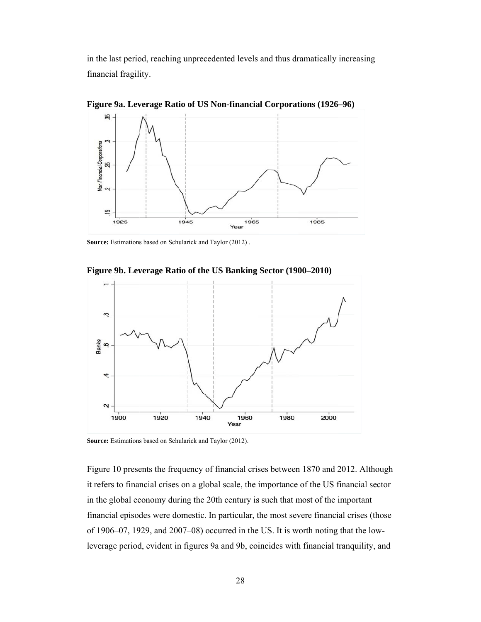in the last period, reaching unprecedented levels and thus dramatically increasing financial fragility.



Figure 9a. Leverage Ratio of US Non-financial Corporations (1926–96)

Source: Estimations based on Schularick and Taylor (2012).

Figure 9b. Leverage Ratio of the US Banking Sector (1900–2010)



Source: Estimations based on Schularick and Taylor (2012).

Figure 10 presents the frequency of financial crises between 1870 and 2012. Although it refers to financial crises on a global scale, the importance of the US financial sector in the global economy during the 20th century is such that most of the important financial episodes were domestic. In particular, the most severe financial crises (those of 1906–07, 1929, and 2007–08) occurred in the US. It is worth noting that the lowleverage period, evident in figures 9a and 9b, coincides with financial tranquility, and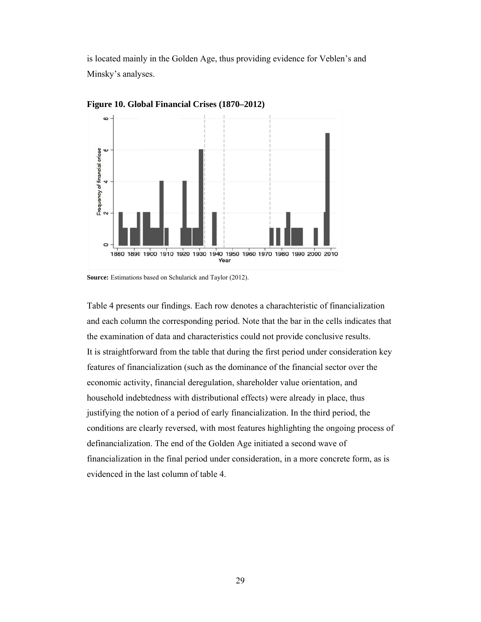is located mainly in the Golden Age, thus providing evidence for Veblen's and Minsky's analyses.



Figure 10. Global Financial Crises (1870–2012)

Table 4 presents our findings. Each row denotes a charachteristic of financialization and each column the corresponding period. Note that the bar in the cells indicates that the examination of data and characteristics could not provide conclusive results. It is straightforward from the table that during the first period under consideration key features of financialization (such as the dominance of the financial sector over the economic activity, financial deregulation, shareholder value orientation, and household indebtedness with distributional effects) were already in place, thus justifying the notion of a period of early financialization. In the third period, the conditions are clearly reversed, with most features highlighting the ongoing process of definancialization. The end of the Golden Age initiated a second wave of financialization in the final period under consideration, in a more concrete form, as is evidenced in the last column of table 4.

**Source:** Estimations based on Schularick and Taylor (2012).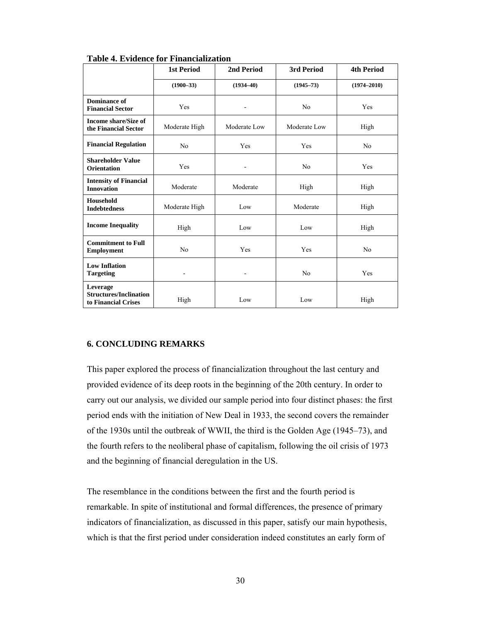|                                                                  | <b>1st Period</b><br>2nd Period |                              | 3rd Period     | <b>4th Period</b> |
|------------------------------------------------------------------|---------------------------------|------------------------------|----------------|-------------------|
|                                                                  | $(1900 - 33)$                   | $(1934 - 40)$                | $(1945 - 73)$  | $(1974 - 2010)$   |
| Dominance of<br><b>Financial Sector</b>                          | Yes                             |                              | No             | Yes               |
| <b>Income share/Size of</b><br>the Financial Sector              | Moderate High                   | Moderate Low                 | Moderate Low   | High              |
| <b>Financial Regulation</b>                                      | N <sub>0</sub>                  | Yes                          | Yes            | N <sub>0</sub>    |
| <b>Shareholder Value</b><br><b>Orientation</b>                   | Yes                             |                              | No             | Yes               |
| <b>Intensity of Financial</b><br><b>Innovation</b>               | Moderate                        | Moderate                     | High           | High              |
| <b>Household</b><br><b>Indebtedness</b>                          | Moderate High                   | Low                          | Moderate       | High              |
| <b>Income Inequality</b>                                         | High                            | Low                          | Low            | High              |
| <b>Commitment to Full</b><br><b>Employment</b>                   | N <sub>0</sub>                  | Yes                          | Yes            | N <sub>0</sub>    |
| <b>Low Inflation</b><br><b>Targeting</b>                         | ۰                               | $\qquad \qquad \blacksquare$ | N <sub>0</sub> | Yes               |
| Leverage<br><b>Structures/Inclination</b><br>to Financial Crises | High                            | Low                          | Low            | High              |

**Table 4. Evidence for Financialization** 

#### **6. CONCLUDING REMARKS**

This paper explored the process of financialization throughout the last century and provided evidence of its deep roots in the beginning of the 20th century. In order to carry out our analysis, we divided our sample period into four distinct phases: the first period ends with the initiation of New Deal in 1933, the second covers the remainder of the 1930s until the outbreak of WWII, the third is the Golden Age (1945–73), and the fourth refers to the neoliberal phase of capitalism, following the oil crisis of 1973 and the beginning of financial deregulation in the US.

The resemblance in the conditions between the first and the fourth period is remarkable. In spite of institutional and formal differences, the presence of primary indicators of financialization, as discussed in this paper, satisfy our main hypothesis, which is that the first period under consideration indeed constitutes an early form of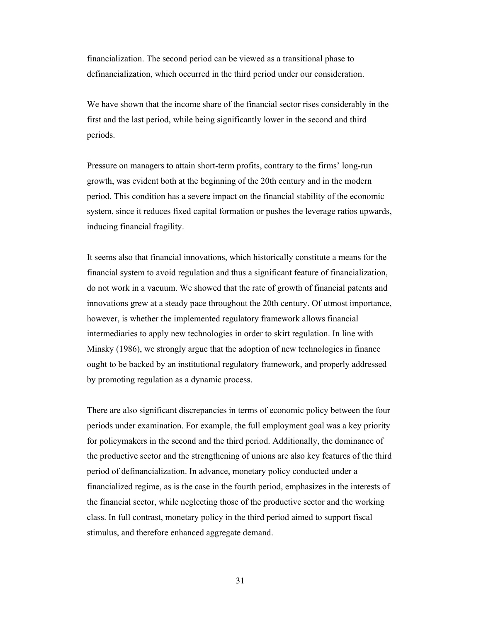financialization. The second period can be viewed as a transitional phase to definancialization, which occurred in the third period under our consideration.

We have shown that the income share of the financial sector rises considerably in the first and the last period, while being significantly lower in the second and third periods.

Pressure on managers to attain short-term profits, contrary to the firms' long-run growth, was evident both at the beginning of the 20th century and in the modern period. This condition has a severe impact on the financial stability of the economic system, since it reduces fixed capital formation or pushes the leverage ratios upwards, inducing financial fragility.

It seems also that financial innovations, which historically constitute a means for the financial system to avoid regulation and thus a significant feature of financialization, do not work in a vacuum. We showed that the rate of growth of financial patents and innovations grew at a steady pace throughout the 20th century. Of utmost importance, however, is whether the implemented regulatory framework allows financial intermediaries to apply new technologies in order to skirt regulation. In line with Minsky (1986), we strongly argue that the adoption of new technologies in finance ought to be backed by an institutional regulatory framework, and properly addressed by promoting regulation as a dynamic process.

There are also significant discrepancies in terms of economic policy between the four periods under examination. For example, the full employment goal was a key priority for policymakers in the second and the third period. Additionally, the dominance of the productive sector and the strengthening of unions are also key features of the third period of definancialization. In advance, monetary policy conducted under a financialized regime, as is the case in the fourth period, emphasizes in the interests of the financial sector, while neglecting those of the productive sector and the working class. In full contrast, monetary policy in the third period aimed to support fiscal stimulus, and therefore enhanced aggregate demand.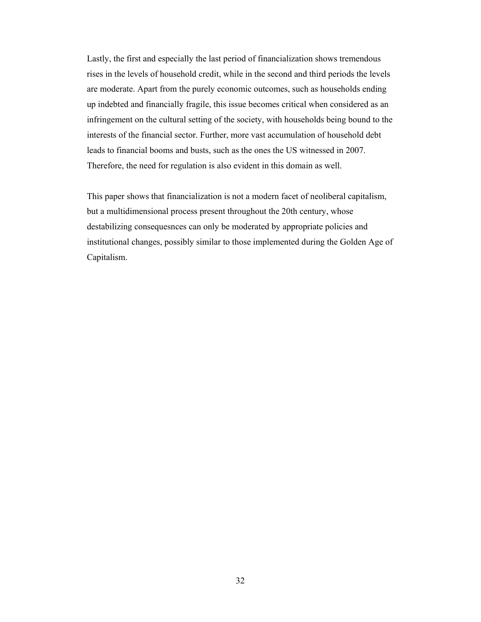Lastly, the first and especially the last period of financialization shows tremendous rises in the levels of household credit, while in the second and third periods the levels are moderate. Apart from the purely economic outcomes, such as households ending up indebted and financially fragile, this issue becomes critical when considered as an infringement on the cultural setting of the society, with households being bound to the interests of the financial sector. Further, more vast accumulation of household debt leads to financial booms and busts, such as the ones the US witnessed in 2007. Therefore, the need for regulation is also evident in this domain as well.

This paper shows that financialization is not a modern facet of neoliberal capitalism, but a multidimensional process present throughout the 20th century, whose destabilizing consequesnces can only be moderated by appropriate policies and institutional changes, possibly similar to those implemented during the Golden Age of Capitalism.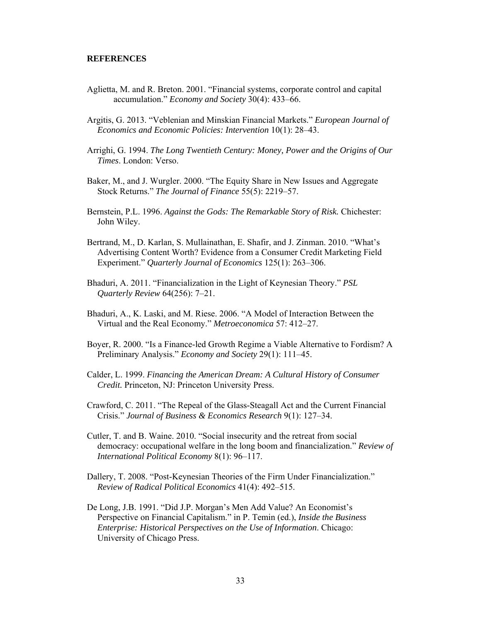### **REFERENCES**

- Aglietta, M. and R. Breton. 2001. "Financial systems, corporate control and capital accumulation." *Economy and Society* 30(4): 433–66.
- Argitis, G. 2013. "Veblenian and Minskian Financial Markets." *European Journal of Economics and Economic Policies: Intervention* 10(1): 28–43.
- Arrighi, G. 1994. *The Long Twentieth Century: Money, Power and the Origins of Our Times*. London: Verso.
- Baker, M., and J. Wurgler. 2000. "The Equity Share in New Issues and Aggregate Stock Returns." *The Journal of Finance* 55(5): 2219–57.
- Bernstein, P.L. 1996. *Against the Gods: The Remarkable Story of Risk.* Chichester: John Wiley.
- Bertrand, M., D. Karlan, S. Mullainathan, E. Shafir, and J. Zinman. 2010. "What's Advertising Content Worth? Evidence from a Consumer Credit Marketing Field Experiment." *Quarterly Journal of Economics* 125(1): 263–306.
- Bhaduri, A. 2011. "Financialization in the Light of Keynesian Theory." *PSL Quarterly Review* 64(256): 7–21.
- Bhaduri, A., K. Laski, and M. Riese. 2006. "A Model of Interaction Between the Virtual and the Real Economy." *Metroeconomica* 57: 412–27.
- Boyer, R. 2000. "Is a Finance-led Growth Regime a Viable Alternative to Fordism? A Preliminary Analysis." *Economy and Society* 29(1): 111–45.
- Calder, L. 1999. *Financing the American Dream: A Cultural History of Consumer Credit.* Princeton, NJ: Princeton University Press.
- Crawford, C. 2011. "The Repeal of the Glass-Steagall Act and the Current Financial Crisis." *Journal of Business & Economics Research* 9(1): 127–34.
- Cutler, T. and B. Waine. 2010. "Social insecurity and the retreat from social democracy: occupational welfare in the long boom and financialization." *Review of International Political Economy* 8(1): 96–117.
- Dallery, T. 2008. "Post-Keynesian Theories of the Firm Under Financialization." *Review of Radical Political Economics* 41(4): 492–515.
- De Long, J.B. 1991. "Did J.P. Morgan's Men Add Value? An Economist's Perspective on Financial Capitalism." in P. Temin (ed.), *Inside the Business Enterprise: Historical Perspectives on the Use of Information*. Chicago: University of Chicago Press.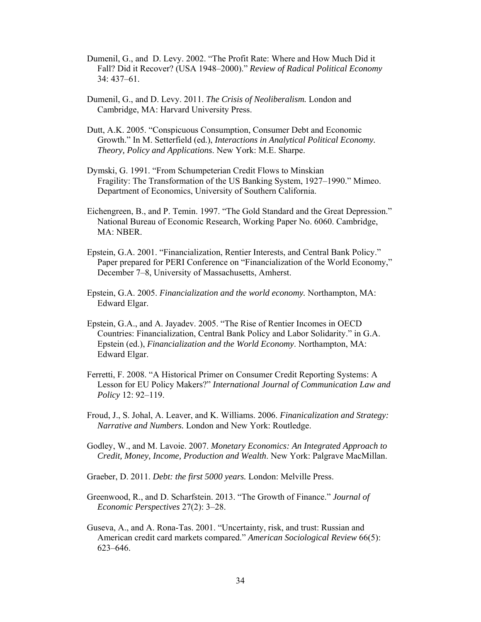- Dumenil, G., and D. Levy. 2002. "The Profit Rate: Where and How Much Did it Fall? Did it Recover? (USA 1948–2000)." *Review of Radical Political Economy*  34: 437–61.
- Dumenil, G., and D. Levy. 2011. *The Crisis of Neoliberalism.* London and Cambridge, MA: Harvard University Press.
- Dutt, A.K. 2005. "Conspicuous Consumption, Consumer Debt and Economic Growth." In M. Setterfield (ed.), *Interactions in Analytical Political Economy. Theory, Policy and Applications*. New York: M.E. Sharpe.
- Dymski, G. 1991. "From Schumpeterian Credit Flows to Minskian Fragility: The Transformation of the US Banking System, 1927–1990." Mimeo. Department of Economics, University of Southern California.
- Eichengreen, B., and P. Temin. 1997. "The Gold Standard and the Great Depression." National Bureau of Economic Research, Working Paper No. 6060. Cambridge, MA: NBER.
- Epstein, G.A. 2001. "Financialization, Rentier Interests, and Central Bank Policy." Paper prepared for PERI Conference on "Financialization of the World Economy," December 7–8, University of Massachusetts, Amherst.
- Epstein, G.A. 2005. *Financialization and the world economy.* Northampton, MA: Edward Elgar.
- Epstein, G.A., and A. Jayadev. 2005. "The Rise of Rentier Incomes in OECD Countries: Financialization, Central Bank Policy and Labor Solidarity." in G.A. Epstein (ed.), *Financialization and the World Economy*. Northampton, MA: Edward Elgar.
- Ferretti, F. 2008. "A Historical Primer on Consumer Credit Reporting Systems: A Lesson for EU Policy Makers?" *International Journal of Communication Law and Policy* 12: 92–119.
- Froud, J., S. Johal, A. Leaver, and K. Williams. 2006. *Finanicalization and Strategy: Narrative and Numbers.* London and New York: Routledge.
- Godley, W., and M. Lavoie. 2007. *Monetary Economics: An Integrated Approach to Credit, Money, Income, Production and Wealth*. New York: Palgrave MacMillan.
- Graeber, D. 2011. *Debt: the first 5000 years.* London: Melville Press.
- Greenwood, R., and D. Scharfstein. 2013. "The Growth of Finance." *Journal of Economic Perspectives* 27(2): 3–28.
- Guseva, A., and A. Rona-Tas. 2001. "Uncertainty, risk, and trust: Russian and American credit card markets compared." *American Sociological Review* 66(5): 623–646.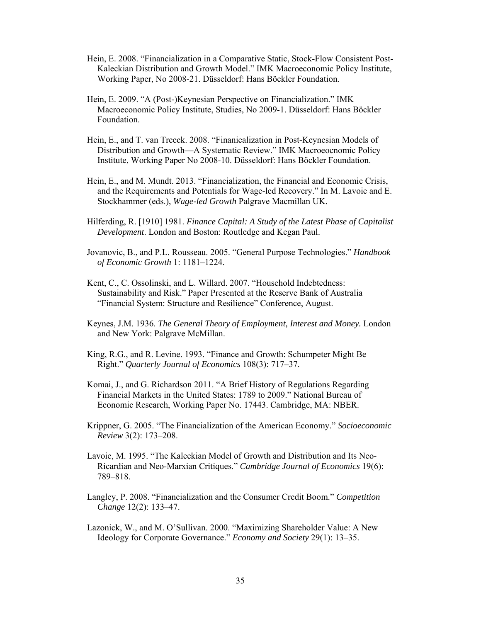- Hein, E. 2008. "Financialization in a Comparative Static, Stock-Flow Consistent Post-Kaleckian Distribution and Growth Model." IMK Macroeconomic Policy Institute, Working Paper, No 2008-21. Düsseldorf: Hans Böckler Foundation.
- Hein, E. 2009. "A (Post-)Keynesian Perspective on Financialization." IMK Macroeconomic Policy Institute, Studies, No 2009-1. Düsseldorf: Hans Böckler Foundation.
- Hein, E., and T. van Treeck. 2008. "Finanicalization in Post-Keynesian Models of Distribution and Growth—A Systematic Review." IMK Macroeocnomic Policy Institute, Working Paper No 2008-10. Düsseldorf: Hans Böckler Foundation.
- Hein, E., and M. Mundt. 2013. "Financialization, the Financial and Economic Crisis, and the Requirements and Potentials for Wage-led Recovery." In M. Lavoie and E. Stockhammer (eds.), *Wage-led Growth* Palgrave Macmillan UK.
- Hilferding, R. [1910] 1981. *Finance Capital: A Study of the Latest Phase of Capitalist Development*. London and Boston: Routledge and Kegan Paul.
- Jovanovic, B., and P.L. Rousseau. 2005. "General Purpose Technologies." *Handbook of Economic Growth* 1: 1181–1224.
- Kent, C., C. Ossolinski, and L. Willard. 2007. "Household Indebtedness: Sustainability and Risk." Paper Presented at the Reserve Bank of Australia "Financial System: Structure and Resilience" Conference, August.
- Keynes, J.M. 1936. *The General Theory of Employment, Interest and Money.* London and New York: Palgrave McMillan.
- King, R.G., and R. Levine. 1993. "Finance and Growth: Schumpeter Might Be Right." *Quarterly Journal of Economics* 108(3): 717–37.
- Komai, J., and G. Richardson 2011. "A Brief History of Regulations Regarding Financial Markets in the United States: 1789 to 2009." National Bureau of Economic Research, Working Paper No. 17443. Cambridge, MA: NBER.
- Krippner, G. 2005. "The Financialization of the American Economy." *Socioeconomic Review* 3(2): 173–208.
- Lavoie, M. 1995. "The Kaleckian Model of Growth and Distribution and Its Neo-Ricardian and Neo-Marxian Critiques." *Cambridge Journal of Economics* 19(6): 789–818.
- Langley, P. 2008. "Financialization and the Consumer Credit Boom." *Competition Change* 12(2): 133–47.
- Lazonick, W., and M. O'Sullivan. 2000. "Maximizing Shareholder Value: A New Ideology for Corporate Governance." *Economy and Society* 29(1): 13–35.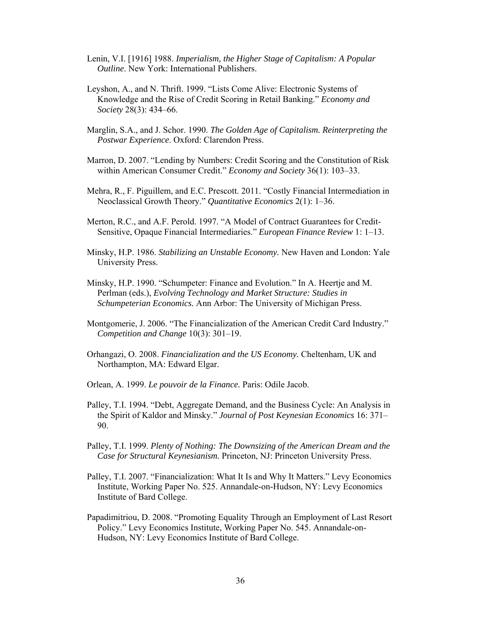- Lenin, V.I. [1916] 1988. *Imperialism, the Higher Stage of Capitalism: A Popular Outline*. New York: International Publishers.
- Leyshon, A., and N. Thrift. 1999. "Lists Come Alive: Electronic Systems of Knowledge and the Rise of Credit Scoring in Retail Banking." *Economy and Society* 28(3): 434–66.
- Marglin, S.A., and J. Schor. 1990. *The Golden Age of Capitalism. Reinterpreting the Postwar Experience*. Oxford: Clarendon Press.
- Marron, D. 2007. "Lending by Numbers: Credit Scoring and the Constitution of Risk within American Consumer Credit." *Economy and Society* 36(1): 103–33.
- Mehra, R., F. Piguillem, and E.C. Prescott. 2011. "Costly Financial Intermediation in Neoclassical Growth Theory." *Quantitative Economics* 2(1): 1–36.
- Merton, R.C., and A.F. Perold. 1997. "A Model of Contract Guarantees for Credit-Sensitive, Opaque Financial Intermediaries." *European Finance Review* 1: 1–13.
- Minsky, H.P. 1986. *Stabilizing an Unstable Economy.* New Haven and London: Yale University Press.
- Minsky, H.P. 1990. "Schumpeter: Finance and Evolution." In A. Heertje and M. Perlman (eds.), *Evolving Technology and Market Structure: Studies in Schumpeterian Economics.* Ann Arbor: The University of Michigan Press.
- Montgomerie, J. 2006. "The Financialization of the American Credit Card Industry." *Competition and Change* 10(3): 301–19.
- Orhangazi, O. 2008. *Financialization and the US Economy.* Cheltenham, UK and Northampton, MA: Edward Elgar.
- Orlean, A. 1999. *Le pouvoir de la Finance.* Paris: Odile Jacob.
- Palley, T.I. 1994. "Debt, Aggregate Demand, and the Business Cycle: An Analysis in the Spirit of Kaldor and Minsky." *Journal of Post Keynesian Economics* 16: 371– 90.
- Palley, T.I. 1999. *Plenty of Nothing: The Downsizing of the American Dream and the Case for Structural Keynesianism.* Princeton, NJ: Princeton University Press.
- Palley, T.I. 2007. "Financialization: What It Is and Why It Matters." Levy Economics Institute, Working Paper No. 525. Annandale-on-Hudson, NY: Levy Economics Institute of Bard College.
- Papadimitriou, D. 2008. "Promoting Equality Through an Employment of Last Resort Policy." Levy Economics Institute, Working Paper No. 545. Annandale-on-Hudson, NY: Levy Economics Institute of Bard College.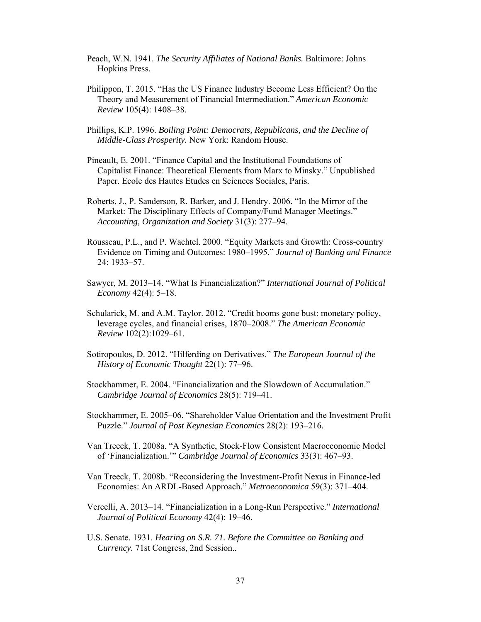- Peach, W.N. 1941. *The Security Affiliates of National Banks.* Baltimore: Johns Hopkins Press.
- Philippon, T. 2015. "Has the US Finance Industry Become Less Efficient? On the Theory and Measurement of Financial Intermediation." *American Economic Review* 105(4): 1408–38.
- Phillips, K.P. 1996. *Boiling Point: Democrats, Republicans, and the Decline of Middle-Class Prosperity.* New York: Random House.
- Pineault, E. 2001. "Finance Capital and the Institutional Foundations of Capitalist Finance: Theoretical Elements from Marx to Minsky." Unpublished Paper. Ecole des Hautes Etudes en Sciences Sociales, Paris.
- Roberts, J., P. Sanderson, R. Barker, and J. Hendry. 2006. "In the Mirror of the Market: The Disciplinary Effects of Company/Fund Manager Meetings." *Accounting, Organization and Society* 31(3): 277–94.
- Rousseau, P.L., and P. Wachtel. 2000. "Equity Markets and Growth: Cross-country Evidence on Timing and Outcomes: 1980–1995." *Journal of Banking and Finance*  24: 1933–57.
- Sawyer, M. 2013–14. "What Is Financialization?" *International Journal of Political Economy* 42(4): 5–18.
- Schularick, M. and A.M. Taylor. 2012. "Credit booms gone bust: monetary policy, leverage cycles, and financial crises, 1870–2008." *The American Economic Review* 102(2):1029–61.
- Sotiropoulos, D. 2012. "Hilferding on Derivatives." *The European Journal of the History of Economic Thought* 22(1): 77–96.
- Stockhammer, E. 2004. "Financialization and the Slowdown of Accumulation." *Cambridge Journal of Economics* 28(5): 719–41.
- Stockhammer, E. 2005–06. "Shareholder Value Orientation and the Investment Profit Puzzle." *Journal of Post Keynesian Economics* 28(2): 193–216.
- Van Treeck, T. 2008a. "A Synthetic, Stock-Flow Consistent Macroeconomic Model of 'Financialization.'" *Cambridge Journal of Economics* 33(3): 467–93.
- Van Treeck, T. 2008b. "Reconsidering the Investment-Profit Nexus in Finance-led Economies: An ARDL-Based Approach." *Metroeconomica* 59(3): 371–404.
- Vercelli, A. 2013–14. "Financialization in a Long-Run Perspective." *International Journal of Political Economy* 42(4): 19–46.
- U.S. Senate. 1931. *Hearing on S.R. 71. Before the Committee on Banking and Currency.* 71st Congress, 2nd Session..